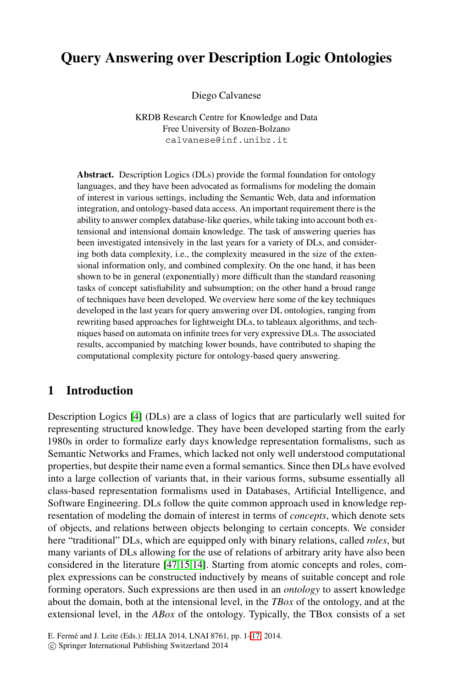# **Query Answering over Description Logic Ontologies**

Diego Calvanese

KRDB Research Centre for Knowledge and Data Free University of Bozen-Bolzano calvanese@inf.unibz.it

**Abstract.** Description Logics (DLs) provide the formal foundation for ontology languages, and they have been advocated as formalisms for modeling the domain of interest in various settings, including the Semantic Web, data and information integration, and ontology-based data access. An important requirement there is the ability to answer complex database-like queries, while taking into account both extensional and intensional domain knowledge. The task of answering queries has been investigated intensively in the last years for a variety of DLs, and considering both data complexity, i.e., the complexity measured in the size of the extensional information only, and combined complexity. On the one hand, it has been shown to be in general (exponentially) more difficult than the standard reasoning tasks of concept satisfiability and subsumption; on the other hand a broad range of techniques have been developed. We overview here some of the key techniques developed in the last years for query answering over DL ontologies, ranging from rewriting based approaches for lightweight DLs, to tableaux algorithms, and techniques based on automata on infinite trees for very expressive DLs. The associated results, accompanied by matching lower bounds, have contributed to shaping the computational complexity picture for ontology-based query answering.

### **1 Introduction**

Description Logics [\[4\]](#page-13-0) (DLs) are a class of logics that are particularly well suited for representing structured knowledge. They have been developed starting from the early 1980s in order to formalize early days knowledge representation formalisms, such as Semantic Networks and Frames, which lacked not only well understood computational properties, but despite their name even a formal semantics. Since then DLs have evolved into a large collection of variants that, in their various forms, subsume essentially all class-based representation formalisms used in Databases, Artificial Intelligence, and Software Engineering. DLs follow the quite common approach used in knowledge representation of modeling the domain of interest in terms of *concepts*, which denote sets of objects, and relations between objects belonging to certain concepts. We consider here "traditional" DLs, which are equipped only with binary relations, called *roles*, but many variants of DLs allowing for the use of relations of arbitrary arity have also been considered in the literature [\[47](#page-16-0)[,15](#page-14-0)[,14\]](#page-14-1). Starting from atomic concepts and roles, complex expressions can be constructed inductively by means of suitable concept and role forming operators. Such expressions are then used in an *ontology* to assert knowledge about the domain, both at the intensional level, in the *TBox* of the ontology, and at the extensional level, in the *ABox* of the ontology. Typically, the TBox consists of a set

E. Fermé and J. Leite (Eds.): JELIA 2014, LNAI 8761, pp. 1[–17,](#page-13-1) 2014.

<sup>-</sup>c Springer International Publishing Switzerland 2014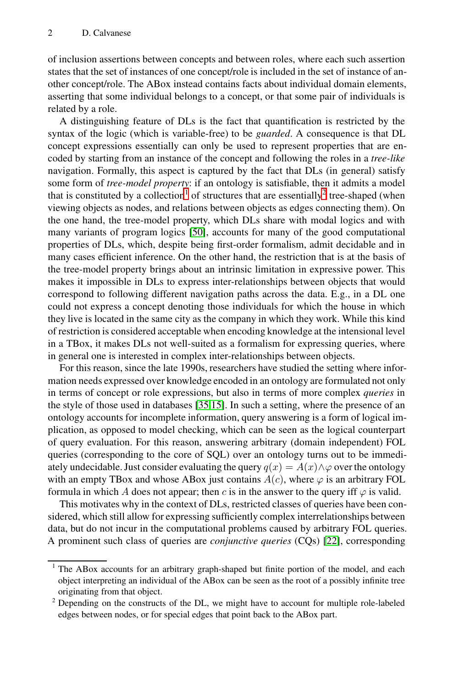of inclusion assertions between concepts and between roles, where each such assertion states that the set of instances of one concept/role is included in the set of instance of another concept/role. The ABox instead contains facts about individual domain elements, asserting that some individual belongs to a concept, or that some pair of individuals is related by a role.

A distinguishing feature of DLs is the fact that quantification is restricted by the syntax of the logic (which is variable-free) to be *guarded*. A consequence is that DL concept expressions essentially can only be used to represent properties that are encoded by starting from an instance of the concept and following the roles in a *tree-like* navigation. Formally, this aspect is captured by the fact that DLs (in general) satisfy some form of *tree-model property*: if an ontology is satisfiable, then it admits a model that is constituted by a collection<sup>[1](#page-1-0)</sup> of structures that are essentially<sup>[2](#page-1-1)</sup> tree-shaped (when viewing objects as nodes, and relations between objects as edges connecting them). On the one hand, the tree-model property, which DLs share with modal logics and with many variants of program logics [\[50\]](#page-16-1), accounts for many of the good computational properties of DLs, which, despite being first-order formalism, admit decidable and in many cases efficient inference. On the other hand, the restriction that is at the basis of the tree-model property brings about an intrinsic limitation in expressive power. This makes it impossible in DLs to express inter-relationships between objects that would correspond to following different navigation paths across the data. E.g., in a DL one could not express a concept denoting those individuals for which the house in which they live is located in the same city as the company in which they work. While this kind of restriction is considered acceptable when encoding knowledge at the intensional level in a TBox, it makes DLs not well-suited as a formalism for expressing queries, where in general one is interested in complex inter-relationships between objects.

For this reason, since the late 1990s, researchers have studied the setting where information needs expressed over knowledge encoded in an ontology are formulated not only in terms of concept or role expressions, but also in terms of more complex *queries* in the style of those used in databases [\[35](#page-15-0)[,15\]](#page-14-0). In such a setting, where the presence of an ontology accounts for incomplete information, query answering is a form of logical implication, as opposed to model checking, which can be seen as the logical counterpart of query evaluation. For this reason, answering arbitrary (domain independent) FOL queries (corresponding to the core of SQL) over an ontology turns out to be immediately undecidable. Just consider evaluating the query  $q(x) = A(x) \wedge \varphi$  over the ontology with an empty TBox and whose ABox just contains  $A(c)$ , where  $\varphi$  is an arbitrary FOL formula in which A does not appear; then c is in the answer to the query iff  $\varphi$  is valid.

<span id="page-1-1"></span><span id="page-1-0"></span>This motivates why in the context of DLs, restricted classes of queries have been considered, which still allow for expressing sufficiently complex interrelationships between data, but do not incur in the computational problems caused by arbitrary FOL queries. A prominent such class of queries are *conjunctive queries* (CQs) [\[22\]](#page-14-2), corresponding

<sup>&</sup>lt;sup>1</sup> The ABox accounts for an arbitrary graph-shaped but finite portion of the model, and each object interpreting an individual of the ABox can be seen as the root of a possibly infinite tree originating from that object.

<sup>&</sup>lt;sup>2</sup> Depending on the constructs of the DL, we might have to account for multiple role-labeled edges between nodes, or for special edges that point back to the ABox part.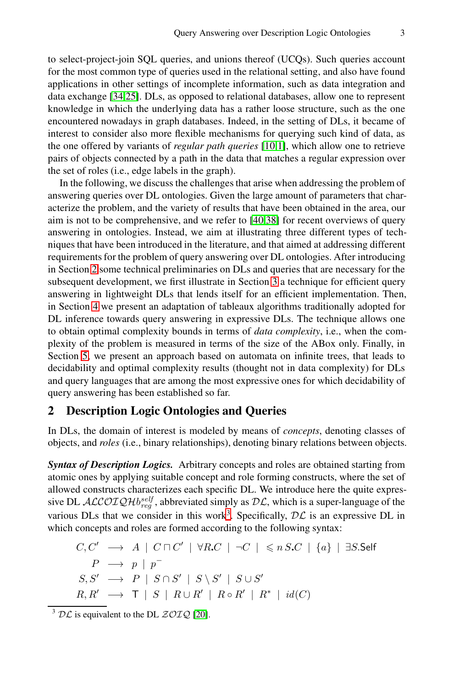to select-project-join SQL queries, and unions thereof (UCQs). Such queries account for the most common type of queries used in the relational setting, and also have found applications in other settings of incomplete information, such as data integration and data exchange [\[34,](#page-15-1)[25\]](#page-15-2). DLs, as opposed to relational databases, allow one to represent knowledge in which the underlying data has a rather loose structure, such as the one encountered nowadays in graph databases. Indeed, in the setting of DLs, it became of interest to consider also more flexible mechanisms for querying such kind of data, as the one offered by variants of *regular path queries* [\[10,](#page-14-3)[1\]](#page-13-2), which allow one to retrieve pairs of objects connected by a path in the data that matches a regular expression over the set of roles (i.e., edge labels in the graph).

In the following, we discuss the challenges that arise when addressing the problem of answering queries over DL ontologies. Given the large amount of parameters that characterize the problem, and the variety of results that have been obtained in the area, our aim is not to be comprehensive, and we refer to [\[40](#page-15-3)[,38\]](#page-15-4) for recent overviews of query answering in ontologies. Instead, we aim at illustrating three different types of techniques that have been introduced in the literature, and that aimed at addressing different requirements for the problem of query answering over DL ontologies. After introducing in Section [2](#page-2-0) some technical preliminaries on DLs and queries that are necessary for the subsequent development, we first illustrate in Section [3](#page-6-0) a technique for efficient query answering in lightweight DLs that lends itself for an efficient implementation. Then, in Section [4](#page-8-0) we present an adaptation of tableaux algorithms traditionally adopted for DL inference towards query answering in expressive DLs. The technique allows one to obtain optimal complexity bounds in terms of *data complexity*, i.e., when the complexity of the problem is measured in terms of the size of the ABox only. Finally, in Section [5,](#page-11-0) we present an approach based on automata on infinite trees, that leads to decidability and optimal complexity results (thought not in data complexity) for DLs and query languages that are among the most expressive ones for which decidability of query answering has been established so far.

### <span id="page-2-0"></span>**2 Description Logic Ontologies and Queries**

In DLs, the domain of interest is modeled by means of *concepts*, denoting classes of objects, and *roles* (i.e., binary relationships), denoting binary relations between objects.

*Syntax of Description Logics.* Arbitrary concepts and roles are obtained starting from atomic ones by applying suitable concept and role forming constructs, where the set of allowed constructs characterizes each specific DL. We introduce here the quite expressive DL *ALCOIQHb<sup>self</sup>*, abbreviated simply as  $\mathcal{DL}$ , which is a super-language of the<br>regions DLs that we consider in this work? Specifically,  $\mathcal{DC}$  is an automative DL in various DLs that we consider in this work<sup>[3](#page-2-1)</sup>. Specifically,  $\mathcal{DL}$  is an expressive DL in which concepts and roles are formed according to the following syntax:

<span id="page-2-1"></span>
$$
C, C' \longrightarrow A \mid C \sqcap C' \mid \forall R.C \mid \neg C \mid \leq n S.C \mid \{a\} \mid \exists S.\mathsf{Self}
$$
\n
$$
P \longrightarrow p \mid p^{-}
$$
\n
$$
S, S' \longrightarrow P \mid S \cap S' \mid S \setminus S' \mid S \cup S'
$$
\n
$$
R, R' \longrightarrow T \mid S \mid R \cup R' \mid R \circ R' \mid R^* \mid id(C)
$$

<sup>&</sup>lt;sup>3</sup> DL is equivalent to the DL  $ZOIQ$  [\[20\]](#page-14-4).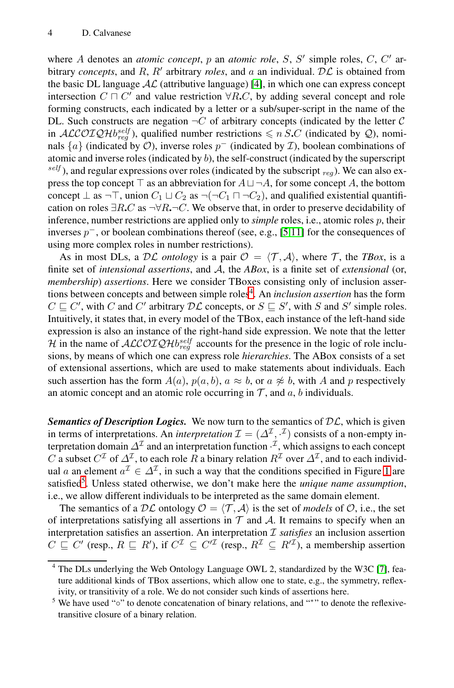where  $A$  denotes an *atomic concept*,  $p$  an *atomic role*,  $S$ ,  $S'$  simple roles,  $C$ ,  $C'$  arbitrary *concepts*, and  $R$ ,  $R'$  arbitrary *roles*, and  $a$  an individual.  $\mathcal{DL}$  is obtained from the basic DL language  $AL$  (attributive language) [\[4\]](#page-13-0), in which one can express concept intersection  $C \sqcap C'$  and value restriction  $\forall R.C$ , by adding several concept and role forming constructs, each indicated by a letter or a sub/super-script in the name of the DL. Such constructs are negation  $\neg C$  of arbitrary concepts (indicated by the letter C in  $ALCOIQHb<sub>reg</sub><sup>self</sup>$ ), qualified number restrictions  $\leq n S.C$  (indicated by Q), nomi-<br>nals La) (indicated by Q), inverse roles  $n^{-}$  (indicated by T), boolean combinations of nals  $\{a\}$  (indicated by  $\mathcal{O}$ ), inverse roles  $p^-$  (indicated by  $\mathcal{I}$ ), boolean combinations of atomic and inverse roles (indicated by b), the self-construct (indicated by the superscript *self* ), and regular expressions over roles (indicated by the subscript *reg* ). We can also express the top concept  $\top$  as an abbreviation for  $A \sqcup \neg A$ , for some concept A, the bottom concept  $\perp$  as  $\neg \top$ , union  $C_1 \sqcup C_2$  as  $\neg (\neg C_1 \sqcap \neg C_2)$ , and qualified existential quantification on roles ∃R**.**C as ¬∀R**.**¬C. We observe that, in order to preserve decidability of inference, number restrictions are applied only to *simple* roles, i.e., atomic roles p, their inverses  $p^-$ , or boolean combinations thereof (see, e.g., [\[5,](#page-14-5)[11\]](#page-14-6) for the consequences of using more complex roles in number restrictions).

As in most DLs, a  $\mathcal{DL}$  *ontology* is a pair  $\mathcal{O} = \langle \mathcal{T}, \mathcal{A} \rangle$ , where  $\mathcal{T}$ , the *TBox*, is a finite set of *intensional assertions*, and A, the *ABox*, is a finite set of *extensional* (or, *membership*) *assertions*. Here we consider TBoxes consisting only of inclusion asser-tions between concepts and between simple roles<sup>[4](#page-3-0)</sup>. An *inclusion assertion* has the form  $C \sqsubseteq C'$ , with C and C' arbitrary  $D\mathcal{L}$  concepts, or  $S \sqsubseteq S'$ , with S and S' simple roles. Intuitively, it states that, in every model of the TBox, each instance of the left-hand side expression is also an instance of the right-hand side expression. We note that the letter  $\mathcal{H}$  in the name of  $\mathcal{ALCOIQH}_{reg}^{self}$  accounts for the presence in the logic of role inclu-<br>sions, by means of which one can express role *hierarchies*. The ABox consists of a set sions, by means of which one can express role *hierarchies*. The ABox consists of a set of extensional assertions, which are used to make statements about individuals. Each such assertion has the form  $A(a)$ ,  $p(a, b)$ ,  $a \approx b$ , or  $a \not\approx b$ , with A and p respectively an atomic concept and an atomic role occurring in  $\mathcal T$ , and  $a, b$  individuals.

*Semantics of Description Logics.* We now turn to the semantics of  $D\mathcal{L}$ , which is given in terms of interpretations. An *interpretation*  $\mathcal{I} = (\Delta^{\mathcal{I}}, \cdot^{\mathcal{I}})$  consists of a non-empty interpretation domain  $\Delta^{\mathcal{I}}$  and an interpretation function  $\cdot^{\mathcal{I}}$ , which assigns to each concept C a subset  $C^{\mathcal{I}}$  of  $\Delta^{\mathcal{I}}$ , to each role  $R$  a binary relation  $R^{\mathcal{I}}$  over  $\Delta^{\mathcal{I}}$ , and to each individual a an element  $a^{\mathcal{I}} \in \Delta^{\mathcal{I}}$ , in such a way that the conditions specified in Figure [1](#page-4-0) are satisfied[5.](#page-3-1) Unless stated otherwise, we don't make here the *unique name assumption*, i.e., we allow different individuals to be interpreted as the same domain element.

<span id="page-3-1"></span><span id="page-3-0"></span>The semantics of a  $D\mathcal{L}$  ontology  $\mathcal{O} = \langle \mathcal{T}, \mathcal{A} \rangle$  is the set of *models* of  $\mathcal{O}$ , i.e., the set of interpretations satisfying all assertions in  $T$  and  $A$ . It remains to specify when an interpretation satisfies an assertion. An interpretation I *satisfies* an inclusion assertion  $C \subseteq C'$  (resp.,  $R \subseteq R'$ ), if  $C^{\perp} \subseteq C'^{\perp}$  (resp.,  $R^{\perp} \subseteq R'^{\perp}$ ), a membership assertion

<sup>4</sup> The DLs underlying the Web Ontology Language OWL 2, standardized by the W3C [\[7\]](#page-14-7), feature additional kinds of TBox assertions, which allow one to state, e.g., the symmetry, reflexivity, or transitivity of a role. We do not consider such kinds of assertions here.

<sup>5</sup> We have used "◦" to denote concatenation of binary relations, and "∗" to denote the reflexivetransitive closure of a binary relation.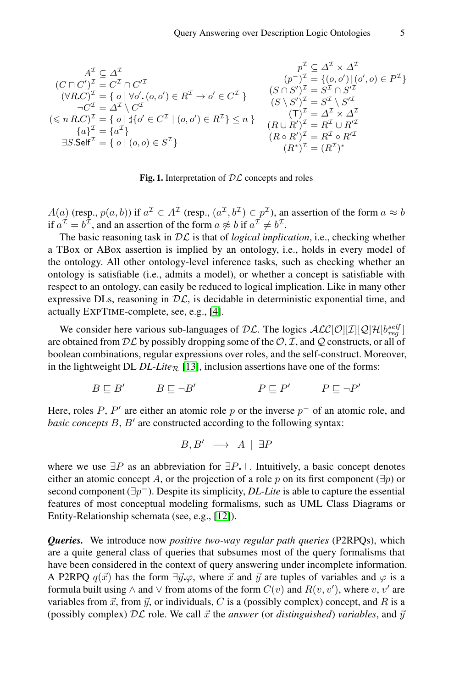$$
AT \subseteq \DeltaT \n(C \sqcap C')T = CT \cap C'T \n(\forall R.C)T = \{o \mid \forall o', (o, o') \in RT \to o' \in CT\}\n\n(\forall R.C)T = \{o \mid \forall o', (o, o') \in RT \to o' \in CT\}\n\n(\le n R.C)T = \{o \mid \sharp\{o' \in CT \mid (o, o') \in RT\}\n\n(\le n R.C)T = \{o \mid \sharp\{o' \in CT \mid (o, o') \in RT\}\n\n\{a\}T = \{aT\}\n\n\exists S. SelfT = \{o \mid (o, o) \in ST\}\n\n(\{a\}T)T = \{a^T \in RT \cup RT\n\n(\{a\}T)T = RT \cup RT\n\n(\{a\}T)T = RT \cup RT\n\n(\{a\}T)T = RT \cup RT\n\n(\{a\}T)T = RT \cup RT\n\n(\{a\}T)T = RT \cup RT\n\n(\{a\}T)T = (aT)*\n\n(\{a\}T)T = (aT)*\n\n(\{a\}T)T = (aT)*\n\n(\{a\}T)T = (aT)*\n\n(\{a\}T)T = (aT)*\n\n(\{a\}T)T = (aT)*\n\n(\
$$

<span id="page-4-0"></span>

 $A(a)$  (resp.,  $p(a, b)$ ) if  $a^{\mathcal{I}} \in A^{\mathcal{I}}$  (resp.,  $(a^{\mathcal{I}}, b^{\mathcal{I}}) \in p^{\mathcal{I}}$ ), an assertion of the form  $a \approx b$ if  $a^{\mathcal{I}} = b^{\mathcal{I}}$ , and an assertion of the form  $a \not\approx b$  if  $a^{\mathcal{I}} \neq b^{\mathcal{I}}$ .

The basic reasoning task in  $D{\mathcal{L}}$  is that of *logical implication*, i.e., checking whether a TBox or ABox assertion is implied by an ontology, i.e., holds in every model of the ontology. All other ontology-level inference tasks, such as checking whether an ontology is satisfiable (i.e., admits a model), or whether a concept is satisfiable with respect to an ontology, can easily be reduced to logical implication. Like in many other expressive DLs, reasoning in  $D\mathcal{L}$ , is decidable in deterministic exponential time, and actually EXPTIME-complete, see, e.g., [\[4\]](#page-13-0).

We consider here various sub-languages of  $\mathcal{DL}$ . The logics  $\mathcal{ALC}[O][\mathcal{I}][Q]\mathcal{H}[b_{reg}^{self}]$ <br>constructs or all of are obtained from  $D\mathcal{L}$  by possibly dropping some of the  $\mathcal{O}, \mathcal{I}$ , and  $\mathcal{Q}$  constructs, or all of boolean combinations, regular expressions over roles, and the self-construct. Moreover, in the lightweight DL  $DL\text{-}Lie_R$  [\[13\]](#page-14-8), inclusion assertions have one of the forms:

$$
B \sqsubseteq B' \qquad \qquad B \sqsubseteq \neg B' \qquad \qquad P \sqsubseteq P' \qquad \qquad P \sqsubseteq \neg P'
$$

Here, roles P, P' are either an atomic role p or the inverse  $p^-$  of an atomic role, and *basic concepts*  $B$ ,  $B'$  are constructed according to the following syntax:

$$
B, B' \longrightarrow A \mid \exists P
$$

where we use ∃P as an abbreviation for ∃P**.** . Intuitively, a basic concept denotes either an atomic concept A, or the projection of a role p on its first component ( $\exists p$ ) or second component (∃p−). Despite its simplicity, *DL-Lite* is able to capture the essential features of most conceptual modeling formalisms, such as UML Class Diagrams or Entity-Relationship schemata (see, e.g., [\[12\]](#page-14-9)).

*Queries.* We introduce now *positive two-way regular path queries* (P2RPQs), which are a quite general class of queries that subsumes most of the query formalisms that have been considered in the context of query answering under incomplete information. A P2RPO  $q(\vec{x})$  has the form  $\exists \vec{y}$ , $\varphi$ , where  $\vec{x}$  and  $\vec{y}$  are tuples of variables and  $\varphi$  is a formula built using ∧ and ∨ from atoms of the form  $C(v)$  and  $R(v, v'),$  where  $v, v'$  are variables from  $\vec{x}$ , from  $\vec{y}$ , or individuals, C is a (possibly complex) concept, and R is a (possibly complex)  $D\mathcal{L}$  role. We call  $\vec{x}$  the *answer* (or *distinguished*) *variables*, and  $\vec{y}$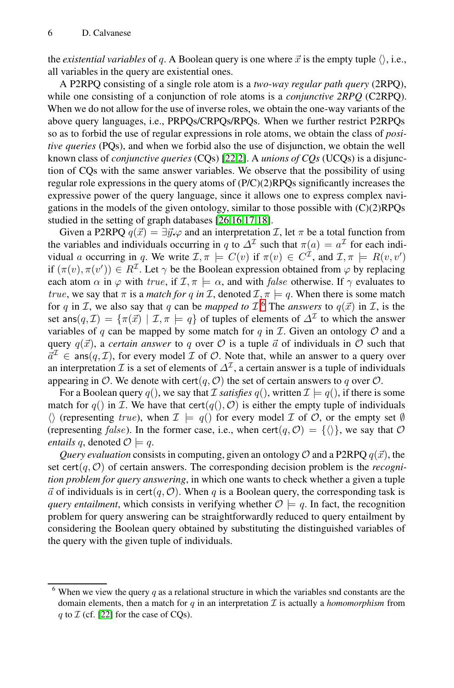the *existential variables* of q. A Boolean query is one where  $\vec{x}$  is the empty tuple  $\langle \cdot, i.e.,$ all variables in the query are existential ones.

A P2RPQ consisting of a single role atom is a *two-way regular path query* (2RPQ), while one consisting of a conjunction of role atoms is a *conjunctive 2RPQ* (C2RPQ). When we do not allow for the use of inverse roles, we obtain the one-way variants of the above query languages, i.e., PRPQs/CRPQs/RPQs. When we further restrict P2RPQs so as to forbid the use of regular expressions in role atoms, we obtain the class of *positive queries* (PQs), and when we forbid also the use of disjunction, we obtain the well known class of *conjunctive queries* (CQs) [\[22](#page-14-2)[,2\]](#page-13-3). A *unions of CQs* (UCQs) is a disjunction of CQs with the same answer variables. We observe that the possibility of using regular role expressions in the query atoms of (P/C)(2)RPQs significantly increases the expressive power of the query language, since it allows one to express complex navigations in the models of the given ontology, similar to those possible with  $(C)(2)RPQs$ studied in the setting of graph databases [\[26](#page-15-5)[,16](#page-14-10)[,17](#page-14-11)[,18\]](#page-14-12).

Given a P2RPQ  $q(\vec{x}) = \exists \vec{y} \cdot \varphi$  and an interpretation *I*, let  $\pi$  be a total function from the variables and individuals occurring in q to  $\Delta^{\mathcal{I}}$  such that  $\pi(a) = a^{\mathcal{I}}$  for each individual a occurring in q. We write  $\mathcal{I}, \pi \models C(v)$  if  $\pi(v) \in C^{\perp}$ , and  $\mathcal{I}, \pi \models R(v, v')$ if  $(\pi(v), \pi(v')) \in R^{\perp}$ . Let  $\gamma$  be the Boolean expression obtained from  $\varphi$  by replacing each atom  $\alpha$  in  $\varphi$  with *true*, if  $\mathcal{I}, \pi \models \alpha$ , and with *false* otherwise. If  $\gamma$  evaluates to *true*, we say that  $\pi$  is a *match for* q *in* I, denoted  $\mathcal{I}, \pi \models q$ . When there is some match for q in *I*, we also say that q can be *mapped to*  $I^6$  $I^6$ . The *answers* to  $q(\vec{x})$  in *I*, is the set ans $(q,\mathcal{I}) = \{\pi(\vec{x}) \mid \mathcal{I}, \pi \models q\}$  of tuples of elements of  $\Delta^{\mathcal{I}}$  to which the answer variables of q can be mapped by some match for q in  $I$ . Given an ontology  $O$  and a query  $q(\vec{x})$ , a *certain answer* to q over  $\mathcal O$  is a tuple  $\vec{a}$  of individuals in  $\mathcal O$  such that  $\vec{a}^{\mathcal{I}} \in \text{ans}(q, \mathcal{I})$ , for every model  $\mathcal{I}$  of  $\mathcal{O}$ . Note that, while an answer to a query over an interpretation  $\mathcal I$  is a set of elements of  $\Delta^{\mathcal I}$ , a certain answer is a tuple of individuals appearing in  $O$ . We denote with cert $(q, O)$  the set of certain answers to q over  $O$ .

For a Boolean query  $q()$ , we say that *I satisfies*  $q()$ , written  $\mathcal{I} \models q()$ , if there is some match for  $q()$  in *I*. We have that cert $(q()$ ,  $O)$  is either the empty tuple of individuals  $\langle \rangle$  (representing *true*), when  $\mathcal{I} \models q()$  for every model  $\mathcal{I}$  of  $\mathcal{O}$ , or the empty set  $\emptyset$ (representing *false*). In the former case, i.e., when cert $(q, 0) = \{ \langle \rangle \}$ , we say that O *entails* q, denoted  $\mathcal{O} \models q$ .

<span id="page-5-0"></span>*Query evaluation* consists in computing, given an ontology  $\mathcal O$  and a P2RPQ  $q(\vec{x})$ , the set cert $(q, O)$  of certain answers. The corresponding decision problem is the *recognition problem for query answering*, in which one wants to check whether a given a tuple  $\vec{a}$  of individuals is in cert $(q, 0)$ . When q is a Boolean query, the corresponding task is *query entailment*, which consists in verifying whether  $\mathcal{O} \models q$ . In fact, the recognition problem for query answering can be straightforwardly reduced to query entailment by considering the Boolean query obtained by substituting the distinguished variables of the query with the given tuple of individuals.

<sup>&</sup>lt;sup>6</sup> When we view the query  $q$  as a relational structure in which the variables snd constants are the domain elements, then a match for  $q$  in an interpretation  $\mathcal I$  is actually a *homomorphism* from q to  $\mathcal I$  (cf. [\[22\]](#page-14-2) for the case of CQs).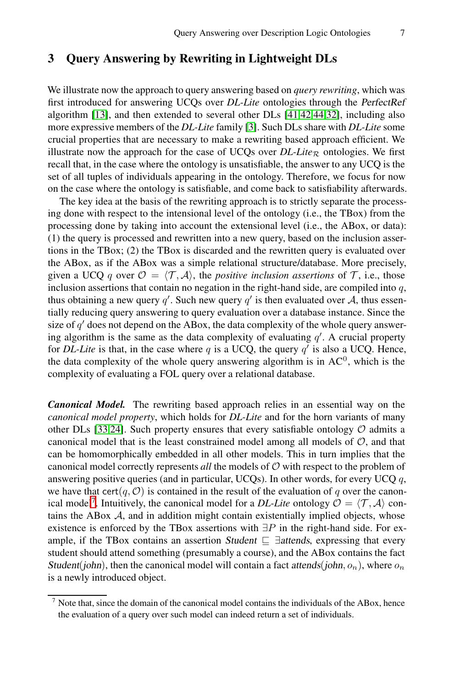### <span id="page-6-0"></span>**3 Query Answering by Rewriting in Lightweight DLs**

We illustrate now the approach to query answering based on *query rewriting*, which was first introduced for answering UCQs over *DL-Lite* ontologies through the PerfectRef algorithm [\[13\]](#page-14-8), and then extended to several other DLs [\[41,](#page-15-6)[42,](#page-15-7)[44](#page-16-2)[,32\]](#page-15-8), including also more expressive members of the *DL-Lite* family [\[3\]](#page-13-4). Such DLs share with *DL-Lite* some crucial properties that are necessary to make a rewriting based approach efficient. We illustrate now the approach for the case of UCQs over  $DL\text{-}Life_{\mathcal{R}}$  ontologies. We first recall that, in the case where the ontology is unsatisfiable, the answer to any UCQ is the set of all tuples of individuals appearing in the ontology. Therefore, we focus for now on the case where the ontology is satisfiable, and come back to satisfiability afterwards.

The key idea at the basis of the rewriting approach is to strictly separate the processing done with respect to the intensional level of the ontology (i.e., the TBox) from the processing done by taking into account the extensional level (i.e., the ABox, or data): (1) the query is processed and rewritten into a new query, based on the inclusion assertions in the TBox; (2) the TBox is discarded and the rewritten query is evaluated over the ABox, as if the ABox was a simple relational structure/database. More precisely, given a UCQ q over  $\mathcal{O} = \langle \mathcal{T}, \mathcal{A} \rangle$ , the *positive inclusion assertions* of  $\mathcal{T}$ , i.e., those inclusion assertions that contain no negation in the right-hand side, are compiled into  $q$ , thus obtaining a new query  $q'$ . Such new query  $q'$  is then evaluated over A, thus essentially reducing query answering to query evaluation over a database instance. Since the size of  $q'$  does not depend on the ABox, the data complexity of the whole query answering algorithm is the same as the data complexity of evaluating  $q'$ . A crucial property for *DL-Lite* is that, in the case where  $q$  is a UCQ, the query  $q'$  is also a UCQ. Hence, the data complexity of the whole query answering algorithm is in  $AC<sup>0</sup>$ , which is the complexity of evaluating a FOL query over a relational database.

*Canonical Model.* The rewriting based approach relies in an essential way on the *canonical model property*, which holds for *DL-Lite* and for the horn variants of many other DLs [\[33,](#page-15-9)[24\]](#page-15-10). Such property ensures that every satisfiable ontology  $O$  admits a canonical model that is the least constrained model among all models of  $O$ , and that can be homomorphically embedded in all other models. This in turn implies that the canonical model correctly represents *all* the models of O with respect to the problem of answering positive queries (and in particular, UCQs). In other words, for every UCQ  $q$ , we have that cert $(q, 0)$  is contained in the result of the evaluation of q over the canonical model<sup>7</sup>. Intuitively, the canonical model for a *DL-Lite* ontology  $\mathcal{O} = \langle \mathcal{T}, \mathcal{A} \rangle$  contains the ABox A, and in addition might contain existentially implied objects, whose existence is enforced by the TBox assertions with  $\exists P$  in the right-hand side. For example, if the TBox contains an assertion Student  $\subseteq$  ∃attends, expressing that every student should attend something (presumably a course), and the ABox contains the fact Student(john), then the canonical model will contain a fact attends(john,  $o_n$ ), where  $o_n$ is a newly introduced object.

<span id="page-6-1"></span>Note that, since the domain of the canonical model contains the individuals of the ABox, hence the evaluation of a query over such model can indeed return a set of individuals.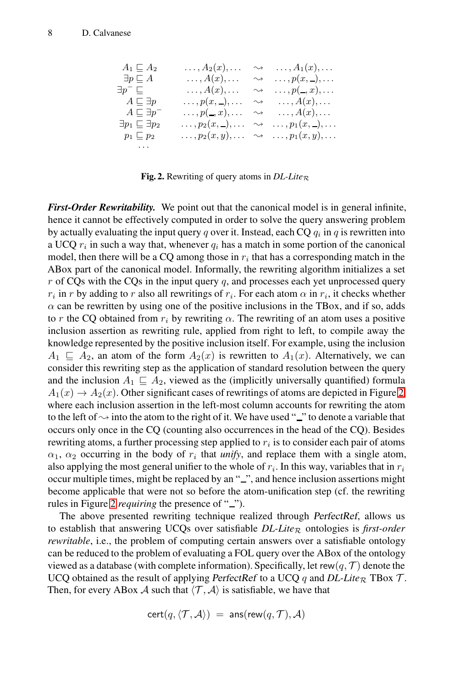$$
A_1 \sqsubseteq A_2 \qquad \dots, A_2(x), \dots \qquad \rightsquigarrow \qquad \dots, A_1(x), \dots
$$
  
\n
$$
\exists p \sqsubseteq A \qquad \dots, A(x), \dots \qquad \rightsquigarrow \qquad \dots, p(x, -), \dots
$$
  
\n
$$
\exists p \sqsubseteq \qquad \dots, A(x), \dots \qquad \rightsquigarrow \qquad \dots, p(-, x), \dots
$$
  
\n
$$
A \sqsubseteq \exists p \qquad \dots, p(x, -), \dots \qquad \rightsquigarrow \qquad \dots, A(x), \dots
$$
  
\n
$$
\exists p_1 \sqsubseteq \exists p_2 \qquad \dots, p_2(x, -), \dots \qquad \rightsquigarrow \qquad \dots, p_1(x, -), \dots
$$
  
\n
$$
p_1 \sqsubseteq p_2 \qquad \dots, p_2(x, y), \dots \qquad \rightsquigarrow \qquad \dots, p_1(x, y), \dots
$$

<span id="page-7-0"></span>**Fig. 2.** Rewriting of query atoms in  $DL\text{-}Like_{\mathcal{R}}$ 

*First-Order Rewritability.* We point out that the canonical model is in general infinite, hence it cannot be effectively computed in order to solve the query answering problem by actually evaluating the input query q over it. Instead, each  $\text{CO } q_i$  in q is rewritten into a UCQ  $r_i$  in such a way that, whenever  $q_i$  has a match in some portion of the canonical model, then there will be a CQ among those in  $r_i$  that has a corresponding match in the ABox part of the canonical model. Informally, the rewriting algorithm initializes a set  $r$  of CQs with the CQs in the input query  $q$ , and processes each yet unprocessed query  $r_i$  in r by adding to r also all rewritings of  $r_i$ . For each atom  $\alpha$  in  $r_i$ , it checks whether  $\alpha$  can be rewritten by using one of the positive inclusions in the TBox, and if so, adds to r the CQ obtained from  $r_i$  by rewriting  $\alpha$ . The rewriting of an atom uses a positive inclusion assertion as rewriting rule, applied from right to left, to compile away the knowledge represented by the positive inclusion itself. For example, using the inclusion  $A_1 \nightharpoonup A_2$ , an atom of the form  $A_2(x)$  is rewritten to  $A_1(x)$ . Alternatively, we can consider this rewriting step as the application of standard resolution between the query and the inclusion  $A_1 \sqsubset A_2$ , viewed as the (implicitly universally quantified) formula  $A_1(x) \rightarrow A_2(x)$ . Other significant cases of rewritings of atoms are depicted in Figure [2,](#page-7-0) where each inclusion assertion in the left-most column accounts for rewriting the atom to the left of  $\sim$  into the atom to the right of it. We have used " $\degree$ " to denote a variable that occurs only once in the CQ (counting also occurrences in the head of the CQ). Besides rewriting atoms, a further processing step applied to r*<sup>i</sup>* is to consider each pair of atoms  $\alpha_1$ ,  $\alpha_2$  occurring in the body of  $r_i$  that *unify*, and replace them with a single atom, also applying the most general unifier to the whole of  $r_i$ . In this way, variables that in  $r_i$ occur multiple times, might be replaced by an """, and hence inclusion assertions might become applicable that were not so before the atom-unification step (cf. the rewriting rules in Figure [2](#page-7-0) *requiring* the presence of "\_").

The above presented rewriting technique realized through PerfectRef, allows us to establish that answering UCQs over satisfiable  $DL\text{-}Life_{\mathcal{R}}$  ontologies is *first-order rewritable*, i.e., the problem of computing certain answers over a satisfiable ontology can be reduced to the problem of evaluating a FOL query over the ABox of the ontology viewed as a database (with complete information). Specifically, let rew(q,  $\mathcal{T}$ ) denote the UCQ obtained as the result of applying PerfectRef to a UCQ q and  $DL\text{-}Lie_R$  TBox  $\mathcal{T}$ . Then, for every ABox A such that  $\langle \mathcal{T}, \mathcal{A} \rangle$  is satisfiable, we have that

$$
\mathsf{cert}(q, \langle \mathcal{T}, \mathcal{A} \rangle) \ = \ \mathsf{ans}(\mathsf{rew}(q, \mathcal{T}), \mathcal{A})
$$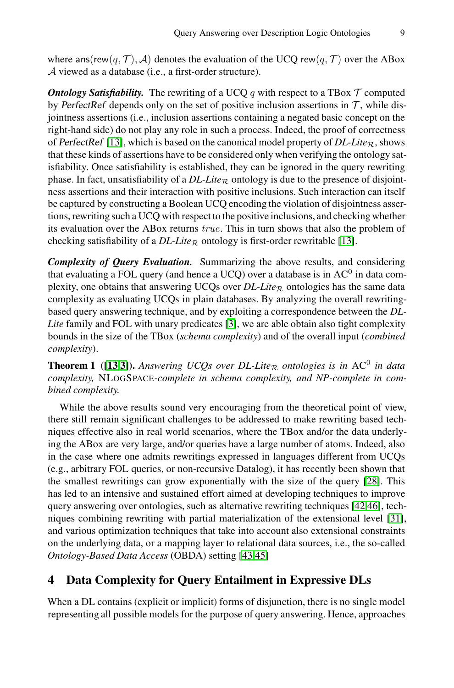where ans(rew(q, T), A) denotes the evaluation of the UCQ rew(q, T) over the ABox A viewed as a database (i.e., a first-order structure).

*Ontology Satisfiability.* The rewriting of a UCO q with respect to a TBox  $\mathcal T$  computed by PerfectRef depends only on the set of positive inclusion assertions in  $\mathcal T$ , while disjointness assertions (i.e., inclusion assertions containing a negated basic concept on the right-hand side) do not play any role in such a process. Indeed, the proof of correctness of PerfectRef [\[13\]](#page-14-8), which is based on the canonical model property of  $DL\text{-}Lie_R$ , shows that these kinds of assertions have to be considered only when verifying the ontology satisfiability. Once satisfiability is established, they can be ignored in the query rewriting phase. In fact, unsatisfiability of a  $DL\text{-}Lie_R$  ontology is due to the presence of disjointness assertions and their interaction with positive inclusions. Such interaction can itself be captured by constructing a Boolean UCQ encoding the violation of disjointness assertions, rewriting such a UCQ with respect to the positive inclusions, and checking whether its evaluation over the ABox returns *true*. This in turn shows that also the problem of checking satisfiability of a  $DL\text{-}Life_{\mathcal{R}}$  ontology is first-order rewritable [\[13\]](#page-14-8).

*Complexity of Query Evaluation.* Summarizing the above results, and considering that evaluating a FOL query (and hence a UCQ) over a database is in  $AC<sup>0</sup>$  in data complexity, one obtains that answering UCQs over  $DL\text{-}Lie_R$  ontologies has the same data complexity as evaluating UCQs in plain databases. By analyzing the overall rewritingbased query answering technique, and by exploiting a correspondence between the *DL-Lite* family and FOL with unary predicates [\[3\]](#page-13-4), we are able obtain also tight complexity bounds in the size of the TBox (*schema complexity*) and of the overall input (*combined complexity*).

**Theorem 1** ([\[13](#page-14-8)[,3\]](#page-13-4)). Answering UCQs over DL-Lite<sub>R</sub> ontologies is in AC<sup>0</sup> in data *complexity,* NLOGSPACE*-complete in schema complexity, and NP-complete in combined complexity.*

<span id="page-8-0"></span>While the above results sound very encouraging from the theoretical point of view, there still remain significant challenges to be addressed to make rewriting based techniques effective also in real world scenarios, where the TBox and/or the data underlying the ABox are very large, and/or queries have a large number of atoms. Indeed, also in the case where one admits rewritings expressed in languages different from UCQs (e.g., arbitrary FOL queries, or non-recursive Datalog), it has recently been shown that the smallest rewritings can grow exponentially with the size of the query [\[28\]](#page-15-11). This has led to an intensive and sustained effort aimed at developing techniques to improve query answering over ontologies, such as alternative rewriting techniques [\[42](#page-15-7)[,46\]](#page-16-3), techniques combining rewriting with partial materialization of the extensional level [\[31\]](#page-15-12), and various optimization techniques that take into account also extensional constraints on the underlying data, or a mapping layer to relational data sources, i.e., the so-called *Ontology-Based Data Access* (OBDA) setting [\[43](#page-16-4)[,45\]](#page-16-5)

## **4 Data Complexity for Query Entailment in Expressive DLs**

When a DL contains (explicit or implicit) forms of disjunction, there is no single model representing all possible models for the purpose of query answering. Hence, approaches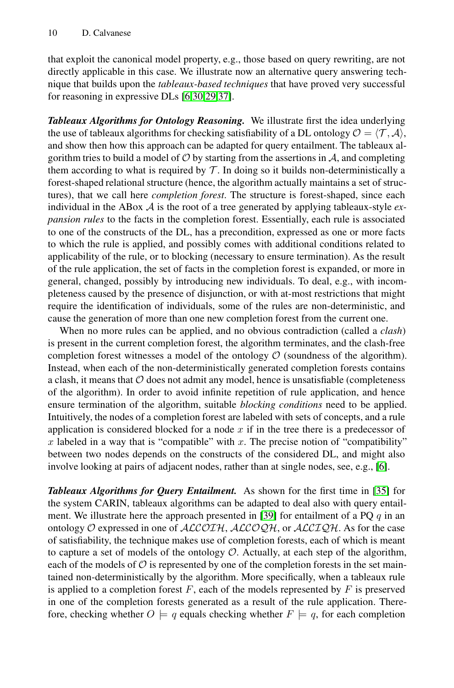that exploit the canonical model property, e.g., those based on query rewriting, are not directly applicable in this case. We illustrate now an alternative query answering technique that builds upon the *tableaux-based techniques* that have proved very successful for reasoning in expressive DLs [\[6](#page-14-13)[,30](#page-15-13)[,29](#page-15-14)[,37\]](#page-15-15).

*Tableaux Algorithms for Ontology Reasoning.* We illustrate first the idea underlying the use of tableaux algorithms for checking satisfiability of a DL ontology  $\mathcal{O} = \langle \mathcal{T}, \mathcal{A} \rangle$ , and show then how this approach can be adapted for query entailment. The tableaux algorithm tries to build a model of  $\mathcal O$  by starting from the assertions in  $\mathcal A$ , and completing them according to what is required by  $T$ . In doing so it builds non-deterministically a forest-shaped relational structure (hence, the algorithm actually maintains a set of structures), that we call here *completion forest*. The structure is forest-shaped, since each individual in the ABox A is the root of a tree generated by applying tableaux-style *expansion rules* to the facts in the completion forest. Essentially, each rule is associated to one of the constructs of the DL, has a precondition, expressed as one or more facts to which the rule is applied, and possibly comes with additional conditions related to applicability of the rule, or to blocking (necessary to ensure termination). As the result of the rule application, the set of facts in the completion forest is expanded, or more in general, changed, possibly by introducing new individuals. To deal, e.g., with incompleteness caused by the presence of disjunction, or with at-most restrictions that might require the identification of individuals, some of the rules are non-deterministic, and cause the generation of more than one new completion forest from the current one.

When no more rules can be applied, and no obvious contradiction (called a *clash*) is present in the current completion forest, the algorithm terminates, and the clash-free completion forest witnesses a model of the ontology  $O$  (soundness of the algorithm). Instead, when each of the non-deterministically generated completion forests contains a clash, it means that  $O$  does not admit any model, hence is unsatisfiable (completeness of the algorithm). In order to avoid infinite repetition of rule application, and hence ensure termination of the algorithm, suitable *blocking conditions* need to be applied. Intuitively, the nodes of a completion forest are labeled with sets of concepts, and a rule application is considered blocked for a node  $x$  if in the tree there is a predecessor of  $x$  labeled in a way that is "compatible" with  $x$ . The precise notion of "compatibility" between two nodes depends on the constructs of the considered DL, and might also involve looking at pairs of adjacent nodes, rather than at single nodes, see, e.g., [\[6\]](#page-14-13).

*Tableaux Algorithms for Query Entailment.* As shown for the first time in [\[35\]](#page-15-0) for the system CARIN, tableaux algorithms can be adapted to deal also with query entail-ment. We illustrate here the approach presented in [\[39\]](#page-15-16) for entailment of a PQ  $q$  in an ontology  $O$  expressed in one of  $ALCOTH$ ,  $ALCOQH$ , or  $ALCIQH$ . As for the case of satisfiability, the technique makes use of completion forests, each of which is meant to capture a set of models of the ontology  $O$ . Actually, at each step of the algorithm, each of the models of  $\mathcal O$  is represented by one of the completion forests in the set maintained non-deterministically by the algorithm. More specifically, when a tableaux rule is applied to a completion forest  $F$ , each of the models represented by  $F$  is preserved in one of the completion forests generated as a result of the rule application. Therefore, checking whether  $O \models q$  equals checking whether  $F \models q$ , for each completion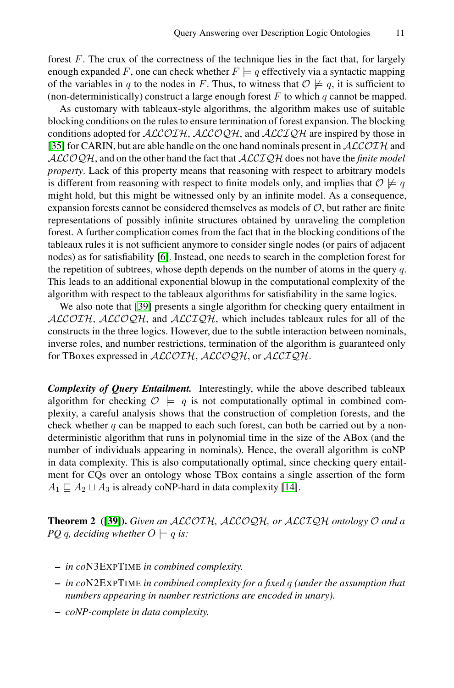forest  $F$ . The crux of the correctness of the technique lies in the fact that, for largely enough expanded F, one can check whether  $F \models q$  effectively via a syntactic mapping of the variables in q to the nodes in F. Thus, to witness that  $\mathcal{O} \not\models q$ , it is sufficient to (non-deterministically) construct a large enough forest  $F$  to which  $q$  cannot be mapped.

As customary with tableaux-style algorithms, the algorithm makes use of suitable blocking conditions on the rules to ensure termination of forest expansion. The blocking conditions adopted for ALCOIH, ALCOQH, and ALCIQH are inspired by those in [\[35\]](#page-15-0) for CARIN, but are able handle on the one hand nominals present in  $ALCOTH$  and ALCOQH, and on the other hand the fact that ALCIQH does not have the *finite model property*. Lack of this property means that reasoning with respect to arbitrary models is different from reasoning with respect to finite models only, and implies that  $\mathcal{O} \not\models q$ might hold, but this might be witnessed only by an infinite model. As a consequence, expansion forests cannot be considered themselves as models of  $\mathcal{O}$ , but rather are finite representations of possibly infinite structures obtained by unraveling the completion forest. A further complication comes from the fact that in the blocking conditions of the tableaux rules it is not sufficient anymore to consider single nodes (or pairs of adjacent nodes) as for satisfiability [\[6\]](#page-14-13). Instead, one needs to search in the completion forest for the repetition of subtrees, whose depth depends on the number of atoms in the query  $q$ . This leads to an additional exponential blowup in the computational complexity of the algorithm with respect to the tableaux algorithms for satisfiability in the same logics.

We also note that [\[39\]](#page-15-16) presents a single algorithm for checking query entailment in  $ALCOTH$ ,  $ALCOQH$ , and  $ALCIQH$ , which includes tableaux rules for all of the constructs in the three logics. However, due to the subtle interaction between nominals, inverse roles, and number restrictions, termination of the algorithm is guaranteed only for TBoxes expressed in ALCOIH, ALCOOH, or ALCIOH.

*Complexity of Query Entailment.* Interestingly, while the above described tableaux algorithm for checking  $\mathcal{O}$  = q is not computationally optimal in combined complexity, a careful analysis shows that the construction of completion forests, and the check whether  $q$  can be mapped to each such forest, can both be carried out by a nondeterministic algorithm that runs in polynomial time in the size of the ABox (and the number of individuals appearing in nominals). Hence, the overall algorithm is coNP in data complexity. This is also computationally optimal, since checking query entailment for CQs over an ontology whose TBox contains a single assertion of the form  $A_1 \subseteq A_2 \sqcup A_3$  is already coNP-hard in data complexity [\[14\]](#page-14-1).

**Theorem 2 ([\[39\]](#page-15-16)).** *Given an* ALCOIH*,* ALCOQH*, or* ALCIQH *ontology* O *and a PQ* q, deciding whether  $O \models q$  is:

- **–** *in co*N3EXPTIME *in combined complexity.*
- **–** *in co*N2EXPTIME *in combined complexity for a fixed* q *(under the assumption that numbers appearing in number restrictions are encoded in unary).*
- **–** *coNP-complete in data complexity.*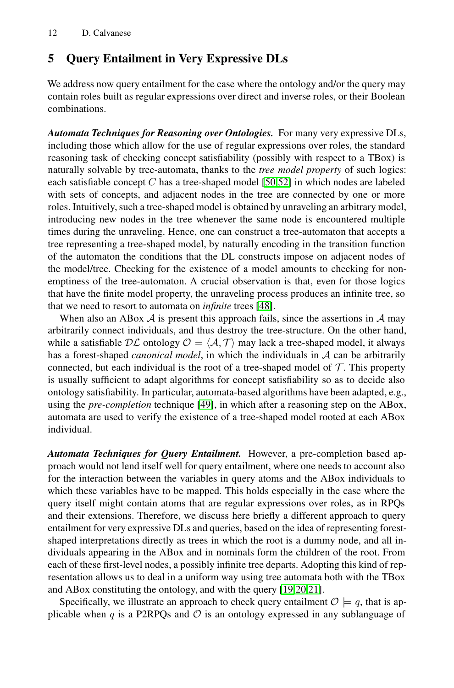### <span id="page-11-0"></span>**5 Query Entailment in Very Expressive DLs**

We address now query entailment for the case where the ontology and/or the query may contain roles built as regular expressions over direct and inverse roles, or their Boolean combinations.

*Automata Techniques for Reasoning over Ontologies.* For many very expressive DLs, including those which allow for the use of regular expressions over roles, the standard reasoning task of checking concept satisfiability (possibly with respect to a TBox) is naturally solvable by tree-automata, thanks to the *tree model property* of such logics: each satisfiable concept  $C$  has a tree-shaped model [\[50,](#page-16-1)[52\]](#page-16-6) in which nodes are labeled with sets of concepts, and adjacent nodes in the tree are connected by one or more roles. Intuitively, such a tree-shaped model is obtained by unraveling an arbitrary model, introducing new nodes in the tree whenever the same node is encountered multiple times during the unraveling. Hence, one can construct a tree-automaton that accepts a tree representing a tree-shaped model, by naturally encoding in the transition function of the automaton the conditions that the DL constructs impose on adjacent nodes of the model/tree. Checking for the existence of a model amounts to checking for nonemptiness of the tree-automaton. A crucial observation is that, even for those logics that have the finite model property, the unraveling process produces an infinite tree, so that we need to resort to automata on *infinite* trees [\[48\]](#page-16-7).

When also an ABox  $A$  is present this approach fails, since the assertions in  $A$  may arbitrarily connect individuals, and thus destroy the tree-structure. On the other hand, while a satisfiable  $\mathcal{DL}$  ontology  $\mathcal{O} = \langle \mathcal{A}, \mathcal{T} \rangle$  may lack a tree-shaped model, it always has a forest-shaped *canonical model*, in which the individuals in A can be arbitrarily connected, but each individual is the root of a tree-shaped model of  $\mathcal T$ . This property is usually sufficient to adapt algorithms for concept satisfiability so as to decide also ontology satisfiability. In particular, automata-based algorithms have been adapted, e.g., using the *pre-completion* technique [\[49\]](#page-16-8), in which after a reasoning step on the ABox, automata are used to verify the existence of a tree-shaped model rooted at each ABox individual.

*Automata Techniques for Query Entailment.* However, a pre-completion based approach would not lend itself well for query entailment, where one needs to account also for the interaction between the variables in query atoms and the ABox individuals to which these variables have to be mapped. This holds especially in the case where the query itself might contain atoms that are regular expressions over roles, as in RPQs and their extensions. Therefore, we discuss here briefly a different approach to query entailment for very expressive DLs and queries, based on the idea of representing forestshaped interpretations directly as trees in which the root is a dummy node, and all individuals appearing in the ABox and in nominals form the children of the root. From each of these first-level nodes, a possibly infinite tree departs. Adopting this kind of representation allows us to deal in a uniform way using tree automata both with the TBox and ABox constituting the ontology, and with the query [\[19](#page-14-14)[,20,](#page-14-4)[21\]](#page-14-15).

Specifically, we illustrate an approach to check query entailment  $\mathcal{O} \models q$ , that is applicable when q is a P2RPQs and  $\mathcal O$  is an ontology expressed in any sublanguage of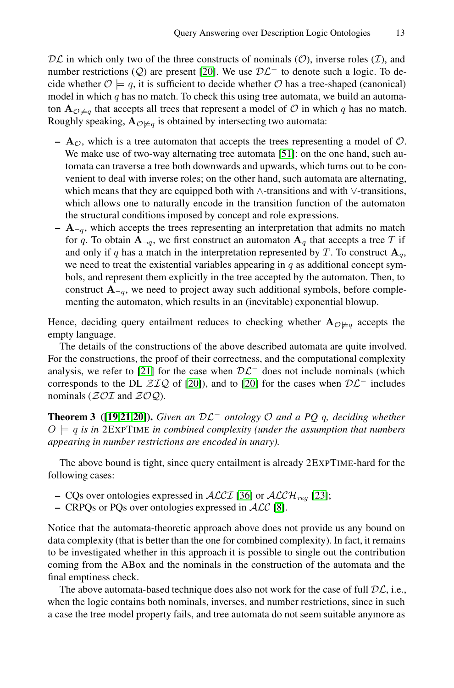$\mathcal{DL}$  in which only two of the three constructs of nominals  $(\mathcal{O})$ , inverse roles  $(\mathcal{I})$ , and number restrictions ( $Q$ ) are present [\[20\]](#page-14-4). We use  $D\mathcal{L}^-$  to denote such a logic. To decide whether  $\mathcal{O} \models q$ , it is sufficient to decide whether  $\mathcal{O}$  has a tree-shaped (canonical) model in which  $q$  has no match. To check this using tree automata, we build an automaton  $\mathbf{A}_{\mathcal{O}\not\models q}$  that accepts all trees that represent a model of  $\mathcal{O}$  in which q has no match. Roughly speaking,  $\mathbf{A}_{\mathcal{O}|\neq q}$  is obtained by intersecting two automata:

- $-$  **A** $\phi$ , which is a tree automaton that accepts the trees representing a model of  $\mathcal{O}$ . We make use of two-way alternating tree automata [\[51\]](#page-16-9): on the one hand, such automata can traverse a tree both downwards and upwards, which turns out to be convenient to deal with inverse roles; on the other hand, such automata are alternating, which means that they are equipped both with ∧-transitions and with ∨-transitions, which allows one to naturally encode in the transition function of the automaton the structural conditions imposed by concept and role expressions.
- $-$  **A**<sub> $\neg a$ </sub>, which accepts the trees representing an interpretation that admits no match for q. To obtain  $A_{\neg q}$ , we first construct an automaton  $A_q$  that accepts a tree T if and only if q has a match in the interpretation represented by T. To construct  $A_q$ , we need to treat the existential variables appearing in  $q$  as additional concept symbols, and represent them explicitly in the tree accepted by the automaton. Then, to construct  $\mathbf{A}_{\neg q}$ , we need to project away such additional symbols, before complementing the automaton, which results in an (inevitable) exponential blowup.

Hence, deciding query entailment reduces to checking whether  $\mathbf{A}_{\mathcal{O}\not\models q}$  accepts the empty language.

The details of the constructions of the above described automata are quite involved. For the constructions, the proof of their correctness, and the computational complexity analysis, we refer to [\[21\]](#page-14-15) for the case when  $\mathcal{DL}^-$  does not include nominals (which corresponds to the DL  $\mathcal{Z}IQ$  of [\[20\]](#page-14-4)), and to [20] for the cases when  $\mathcal{DL}^-$  includes nominals ( $ZOT$  and  $ZOO$ ).

**Theorem 3 ([\[19](#page-14-14)[,21](#page-14-15)[,20\]](#page-14-4)).** *Given an* DL<sup>−</sup> *ontology* O *and a PQ* q*, deciding whether*  $O \models q$  is in 2EXPTIME in combined complexity (under the assumption that numbers *appearing in number restrictions are encoded in unary).*

The above bound is tight, since query entailment is already 2EXPTIME-hard for the following cases:

- **–** CQs over ontologies expressed in ALCI [\[36\]](#page-15-17) or ALCH*reg* [\[23\]](#page-14-16);
- **–** CRPQs or PQs over ontologies expressed in ALC [\[8\]](#page-14-17).

Notice that the automata-theoretic approach above does not provide us any bound on data complexity (that is better than the one for combined complexity). In fact, it remains to be investigated whether in this approach it is possible to single out the contribution coming from the ABox and the nominals in the construction of the automata and the final emptiness check.

The above automata-based technique does also not work for the case of full  $D\mathcal{L}$ , i.e., when the logic contains both nominals, inverses, and number restrictions, since in such a case the tree model property fails, and tree automata do not seem suitable anymore as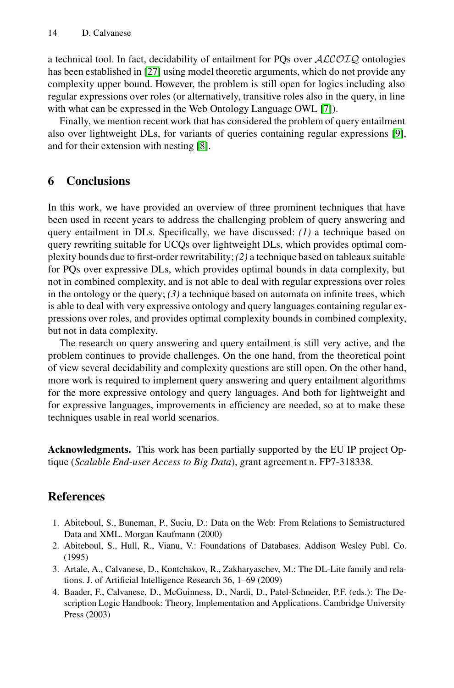a technical tool. In fact, decidability of entailment for POs over  $ALCOIO$  ontologies has been established in [\[27\]](#page-15-18) using model theoretic arguments, which do not provide any complexity upper bound. However, the problem is still open for logics including also regular expressions over roles (or alternatively, transitive roles also in the query, in line with what can be expressed in the Web Ontology Language OWL [\[7\]](#page-14-7)).

Finally, we mention recent work that has considered the problem of query entailment also over lightweight DLs, for variants of queries containing regular expressions [\[9\]](#page-14-18), and for their extension with nesting [\[8\]](#page-14-17).

### **6 Conclusions**

In this work, we have provided an overview of three prominent techniques that have been used in recent years to address the challenging problem of query answering and query entailment in DLs. Specifically, we have discussed: *(1)* a technique based on query rewriting suitable for UCQs over lightweight DLs, which provides optimal complexity bounds due to first-order rewritability; *(2)* a technique based on tableaux suitable for PQs over expressive DLs, which provides optimal bounds in data complexity, but not in combined complexity, and is not able to deal with regular expressions over roles in the ontology or the query; *(3)* a technique based on automata on infinite trees, which is able to deal with very expressive ontology and query languages containing regular expressions over roles, and provides optimal complexity bounds in combined complexity, but not in data complexity.

The research on query answering and query entailment is still very active, and the problem continues to provide challenges. On the one hand, from the theoretical point of view several decidability and complexity questions are still open. On the other hand, more work is required to implement query answering and query entailment algorithms for the more expressive ontology and query languages. And both for lightweight and for expressive languages, improvements in efficiency are needed, so at to make these techniques usable in real world scenarios.

<span id="page-13-3"></span><span id="page-13-2"></span><span id="page-13-1"></span>**Acknowledgments.** This work has been partially supported by the EU IP project Optique (*Scalable End-user Access to Big Data*), grant agreement n. FP7-318338.

### <span id="page-13-4"></span><span id="page-13-0"></span>**References**

- 1. Abiteboul, S., Buneman, P., Suciu, D.: Data on the Web: From Relations to Semistructured Data and XML. Morgan Kaufmann (2000)
- 2. Abiteboul, S., Hull, R., Vianu, V.: Foundations of Databases. Addison Wesley Publ. Co. (1995)
- 3. Artale, A., Calvanese, D., Kontchakov, R., Zakharyaschev, M.: The DL-Lite family and relations. J. of Artificial Intelligence Research 36, 1–69 (2009)
- 4. Baader, F., Calvanese, D., McGuinness, D., Nardi, D., Patel-Schneider, P.F. (eds.): The Description Logic Handbook: Theory, Implementation and Applications. Cambridge University Press (2003)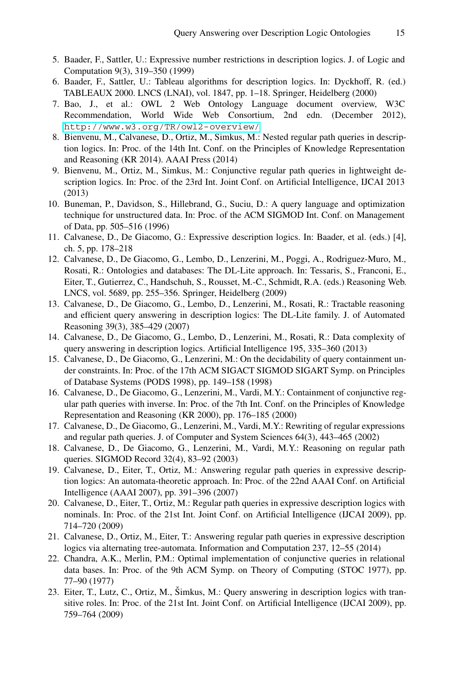- <span id="page-14-17"></span><span id="page-14-13"></span><span id="page-14-7"></span><span id="page-14-5"></span>5. Baader, F., Sattler, U.: Expressive number restrictions in description logics. J. of Logic and Computation 9(3), 319–350 (1999)
- <span id="page-14-18"></span>6. Baader, F., Sattler, U.: Tableau algorithms for description logics. In: Dyckhoff, R. (ed.) TABLEAUX 2000. LNCS (LNAI), vol. 1847, pp. 1–18. Springer, Heidelberg (2000)
- <span id="page-14-3"></span>7. Bao, J., et al.: OWL 2 Web Ontology Language document overview, W3C Recommendation, World Wide Web Consortium, 2nd edn. (December 2012), <http://www.w3.org/TR/owl2-overview/>
- <span id="page-14-6"></span>8. Bienvenu, M., Calvanese, D., Ortiz, M., Simkus, M.: Nested regular path queries in description logics. In: Proc. of the 14th Int. Conf. on the Principles of Knowledge Representation and Reasoning (KR 2014). AAAI Press (2014)
- <span id="page-14-9"></span>9. Bienvenu, M., Ortiz, M., Simkus, M.: Conjunctive regular path queries in lightweight description logics. In: Proc. of the 23rd Int. Joint Conf. on Artificial Intelligence, IJCAI 2013 (2013)
- <span id="page-14-8"></span>10. Buneman, P., Davidson, S., Hillebrand, G., Suciu, D.: A query language and optimization technique for unstructured data. In: Proc. of the ACM SIGMOD Int. Conf. on Management of Data, pp. 505–516 (1996)
- <span id="page-14-1"></span>11. Calvanese, D., De Giacomo, G.: Expressive description logics. In: Baader, et al. (eds.) [4], ch. 5, pp. 178–218
- <span id="page-14-0"></span>12. Calvanese, D., De Giacomo, G., Lembo, D., Lenzerini, M., Poggi, A., Rodriguez-Muro, M., Rosati, R.: Ontologies and databases: The DL-Lite approach. In: Tessaris, S., Franconi, E., Eiter, T., Gutierrez, C., Handschuh, S., Rousset, M.-C., Schmidt, R.A. (eds.) Reasoning Web. LNCS, vol. 5689, pp. 255–356. Springer, Heidelberg (2009)
- <span id="page-14-10"></span>13. Calvanese, D., De Giacomo, G., Lembo, D., Lenzerini, M., Rosati, R.: Tractable reasoning and efficient query answering in description logics: The DL-Lite family. J. of Automated Reasoning 39(3), 385–429 (2007)
- <span id="page-14-11"></span>14. Calvanese, D., De Giacomo, G., Lembo, D., Lenzerini, M., Rosati, R.: Data complexity of query answering in description logics. Artificial Intelligence 195, 335–360 (2013)
- <span id="page-14-14"></span><span id="page-14-12"></span>15. Calvanese, D., De Giacomo, G., Lenzerini, M.: On the decidability of query containment under constraints. In: Proc. of the 17th ACM SIGACT SIGMOD SIGART Symp. on Principles of Database Systems (PODS 1998), pp. 149–158 (1998)
- <span id="page-14-4"></span>16. Calvanese, D., De Giacomo, G., Lenzerini, M., Vardi, M.Y.: Containment of conjunctive regular path queries with inverse. In: Proc. of the 7th Int. Conf. on the Principles of Knowledge Representation and Reasoning (KR 2000), pp. 176–185 (2000)
- 17. Calvanese, D., De Giacomo, G., Lenzerini, M., Vardi, M.Y.: Rewriting of regular expressions and regular path queries. J. of Computer and System Sciences 64(3), 443–465 (2002)
- <span id="page-14-15"></span>18. Calvanese, D., De Giacomo, G., Lenzerini, M., Vardi, M.Y.: Reasoning on regular path queries. SIGMOD Record 32(4), 83–92 (2003)
- <span id="page-14-2"></span>19. Calvanese, D., Eiter, T., Ortiz, M.: Answering regular path queries in expressive description logics: An automata-theoretic approach. In: Proc. of the 22nd AAAI Conf. on Artificial Intelligence (AAAI 2007), pp. 391–396 (2007)
- <span id="page-14-16"></span>20. Calvanese, D., Eiter, T., Ortiz, M.: Regular path queries in expressive description logics with nominals. In: Proc. of the 21st Int. Joint Conf. on Artificial Intelligence (IJCAI 2009), pp. 714–720 (2009)
- 21. Calvanese, D., Ortiz, M., Eiter, T.: Answering regular path queries in expressive description logics via alternating tree-automata. Information and Computation 237, 12–55 (2014)
- 22. Chandra, A.K., Merlin, P.M.: Optimal implementation of conjunctive queries in relational data bases. In: Proc. of the 9th ACM Symp. on Theory of Computing (STOC 1977), pp. 77–90 (1977)
- 23. Eiter, T., Lutz, C., Ortiz, M., Šimkus, M.: Query answering in description logics with transitive roles. In: Proc. of the 21st Int. Joint Conf. on Artificial Intelligence (IJCAI 2009), pp. 759–764 (2009)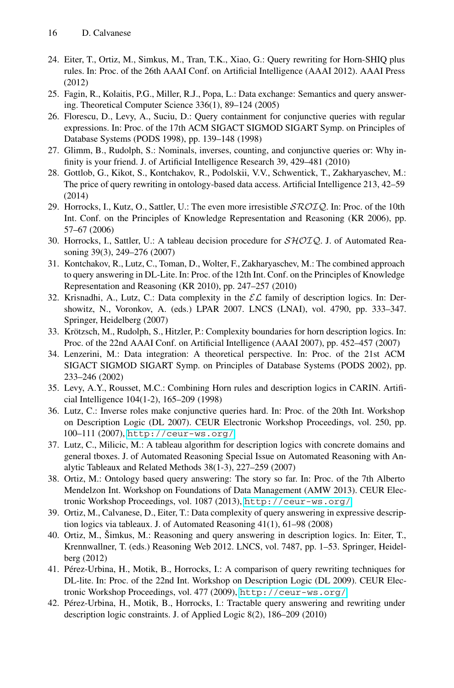- <span id="page-15-18"></span><span id="page-15-10"></span><span id="page-15-5"></span><span id="page-15-2"></span>24. Eiter, T., Ortiz, M., Simkus, M., Tran, T.K., Xiao, G.: Query rewriting for Horn-SHIQ plus rules. In: Proc. of the 26th AAAI Conf. on Artificial Intelligence (AAAI 2012). AAAI Press (2012)
- <span id="page-15-11"></span>25. Fagin, R., Kolaitis, P.G., Miller, R.J., Popa, L.: Data exchange: Semantics and query answering. Theoretical Computer Science 336(1), 89–124 (2005)
- <span id="page-15-14"></span>26. Florescu, D., Levy, A., Suciu, D.: Query containment for conjunctive queries with regular expressions. In: Proc. of the 17th ACM SIGACT SIGMOD SIGART Symp. on Principles of Database Systems (PODS 1998), pp. 139–148 (1998)
- <span id="page-15-13"></span>27. Glimm, B., Rudolph, S.: Nominals, inverses, counting, and conjunctive queries or: Why infinity is your friend. J. of Artificial Intelligence Research 39, 429–481 (2010)
- <span id="page-15-12"></span>28. Gottlob, G., Kikot, S., Kontchakov, R., Podolskii, V.V., Schwentick, T., Zakharyaschev, M.: The price of query rewriting in ontology-based data access. Artificial Intelligence 213, 42–59 (2014)
- <span id="page-15-8"></span>29. Horrocks, I., Kutz, O., Sattler, U.: The even more irresistible  $\mathcal{SROLQ}$ . In: Proc. of the 10th Int. Conf. on the Principles of Knowledge Representation and Reasoning (KR 2006), pp. 57–67 (2006)
- <span id="page-15-9"></span>30. Horrocks, I., Sattler, U.: A tableau decision procedure for  $\mathcal{SHOLQ}$ . J. of Automated Reasoning 39(3), 249–276 (2007)
- <span id="page-15-1"></span>31. Kontchakov, R., Lutz, C., Toman, D., Wolter, F., Zakharyaschev, M.: The combined approach to query answering in DL-Lite. In: Proc. of the 12th Int. Conf. on the Principles of Knowledge Representation and Reasoning (KR 2010), pp. 247–257 (2010)
- <span id="page-15-0"></span>32. Krisnadhi, A., Lutz, C.: Data complexity in the  $\mathcal{EL}$  family of description logics. In: Dershowitz, N., Voronkov, A. (eds.) LPAR 2007. LNCS (LNAI), vol. 4790, pp. 333–347. Springer, Heidelberg (2007)
- <span id="page-15-17"></span>33. Krötzsch, M., Rudolph, S., Hitzler, P.: Complexity boundaries for horn description logics. In: Proc. of the 22nd AAAI Conf. on Artificial Intelligence (AAAI 2007), pp. 452–457 (2007)
- <span id="page-15-15"></span>34. Lenzerini, M.: Data integration: A theoretical perspective. In: Proc. of the 21st ACM SIGACT SIGMOD SIGART Symp. on Principles of Database Systems (PODS 2002), pp. 233–246 (2002)
- <span id="page-15-4"></span>35. Levy, A.Y., Rousset, M.C.: Combining Horn rules and description logics in CARIN. Artificial Intelligence 104(1-2), 165–209 (1998)
- <span id="page-15-16"></span>36. Lutz, C.: Inverse roles make conjunctive queries hard. In: Proc. of the 20th Int. Workshop on Description Logic (DL 2007). CEUR Electronic Workshop Proceedings, vol. 250, pp. 100–111 (2007), <http://ceur-ws.org/>
- <span id="page-15-3"></span>37. Lutz, C., Milicic, M.: A tableau algorithm for description logics with concrete domains and general tboxes. J. of Automated Reasoning Special Issue on Automated Reasoning with Analytic Tableaux and Related Methods 38(1-3), 227–259 (2007)
- <span id="page-15-6"></span>38. Ortiz, M.: Ontology based query answering: The story so far. In: Proc. of the 7th Alberto Mendelzon Int. Workshop on Foundations of Data Management (AMW 2013). CEUR Electronic Workshop Proceedings, vol. 1087 (2013), <http://ceur-ws.org/>
- <span id="page-15-7"></span>39. Ortiz, M., Calvanese, D., Eiter, T.: Data complexity of query answering in expressive description logics via tableaux. J. of Automated Reasoning 41(1), 61–98 (2008)
- 40. Ortiz, M., Šimkus, M.: Reasoning and query answering in description logics. In: Eiter, T., Krennwallner, T. (eds.) Reasoning Web 2012. LNCS, vol. 7487, pp. 1–53. Springer, Heidelberg (2012)
- 41. Pérez-Urbina, H., Motik, B., Horrocks, I.: A comparison of query rewriting techniques for DL-lite. In: Proc. of the 22nd Int. Workshop on Description Logic (DL 2009). CEUR Electronic Workshop Proceedings, vol. 477 (2009), <http://ceur-ws.org/>
- 42. Pérez-Urbina, H., Motik, B., Horrocks, I.: Tractable query answering and rewriting under description logic constraints. J. of Applied Logic 8(2), 186–209 (2010)